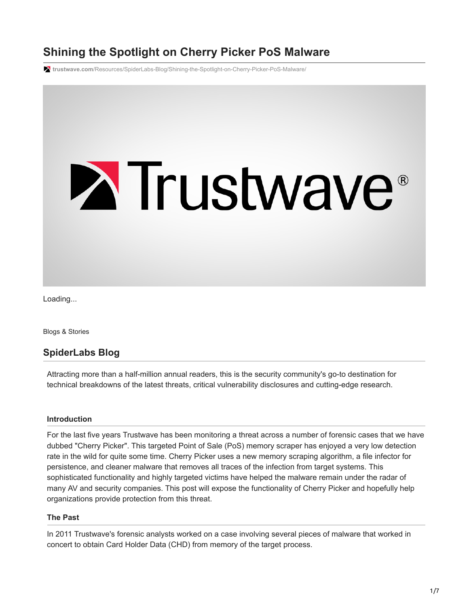# **Shining the Spotlight on Cherry Picker PoS Malware**

**trustwave.com**[/Resources/SpiderLabs-Blog/Shining-the-Spotlight-on-Cherry-Picker-PoS-Malware/](https://www.trustwave.com/Resources/SpiderLabs-Blog/Shining-the-Spotlight-on-Cherry-Picker-PoS-Malware/)



Loading...

Blogs & Stories

# **SpiderLabs Blog**

Attracting more than a half-million annual readers, this is the security community's go-to destination for technical breakdowns of the latest threats, critical vulnerability disclosures and cutting-edge research.

#### **Introduction**

For the last five years Trustwave has been monitoring a threat across a number of forensic cases that we have dubbed "Cherry Picker". This targeted Point of Sale (PoS) memory scraper has enjoyed a very low detection rate in the wild for quite some time. Cherry Picker uses a new memory scraping algorithm, a file infector for persistence, and cleaner malware that removes all traces of the infection from target systems. This sophisticated functionality and highly targeted victims have helped the malware remain under the radar of many AV and security companies. This post will expose the functionality of Cherry Picker and hopefully help organizations provide protection from this threat.

#### **The Past**

In 2011 Trustwave's forensic analysts worked on a case involving several pieces of malware that worked in concert to obtain Card Holder Data (CHD) from memory of the target process.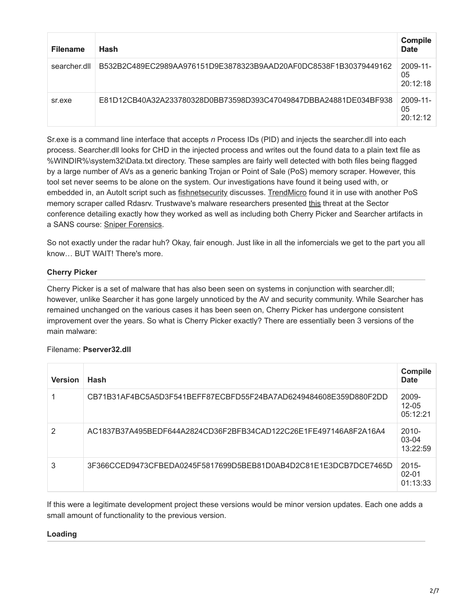| <b>Filename</b> | Hash                                                             | <b>Compile</b><br><b>Date</b>   |
|-----------------|------------------------------------------------------------------|---------------------------------|
| searcher.dll    | B532B2C489EC2989AA976151D9E3878323B9AAD20AF0DC8538F1B30379449162 | $2009 - 11 -$<br>05<br>20:12:18 |
| sr.exe          | E81D12CB40A32A233780328D0BB73598D393C47049847DBBA24881DE034BF938 | $2009 - 11$<br>05<br>20.12.12   |

Sr.exe is a command line interface that accepts *n* Process IDs (PID) and injects the searcher.dll into each process. Searcher.dll looks for CHD in the injected process and writes out the found data to a plain text file as %WINDIR%\system32\Data.txt directory. These samples are fairly well detected with both files being flagged by a large number of AVs as a generic banking Trojan or Point of Sale (PoS) memory scraper. However, this tool set never seems to be alone on the system. Our investigations have found it being used with, or embedded in, an AutoIt script such as [fishnetsecurity](https://www.fishnetsecurity.com/6labs/blog/autoit-scripting-pos-malware) discusses. [TrendMicro](http://www.trendmicro.com/vinfo/us/threat-encyclopedia/malware/troj_banker.qpa) found it in use with another PoS memory scraper called Rdasrv. Trustwave's malware researchers presented [this](http://sector.ca/portals/17/Presentations12/Josh%20Grunzweig%20-%20Ryan%20Merritt%20-%20Targeted%20Malware%20Attacks%20-%20Sophisticated%20Criminals%20or%20Babytown%20Frolics%20-%20Sector%202012.pdf) threat at the Sector conference detailing exactly how they worked as well as including both Cherry Picker and Searcher artifacts in a SANS course: [Sniper Forensics](https://files.sans.org/summit/forensics11/PDFs/Sniper%20Forensics-Target%20Acquisition.pdf).

So not exactly under the radar huh? Okay, fair enough. Just like in all the infomercials we get to the part you all know… BUT WAIT! There's more.

## **Cherry Picker**

Cherry Picker is a set of malware that has also been seen on systems in conjunction with searcher.dll; however, unlike Searcher it has gone largely unnoticed by the AV and security community. While Searcher has remained unchanged on the various cases it has been seen on, Cherry Picker has undergone consistent improvement over the years. So what is Cherry Picker exactly? There are essentially been 3 versions of the main malware:

## Filename: **Pserver32.dll**

| <b>Version</b> | Hash                                                             | <b>Compile</b><br>Date            |
|----------------|------------------------------------------------------------------|-----------------------------------|
|                | CB71B31AF4BC5A5D3F541BEFF87ECBFD55F24BA7AD6249484608E359D880F2DD | 2009-<br>$12 - 05$<br>05:12:21    |
| 2              | AC1837B37A495BEDF644A2824CD36F2BFB34CAD122C26E1FE497146A8F2A16A4 | $2010 -$<br>$03-04$<br>13:22:59   |
| 3              | 3F366CCED9473CFBEDA0245F5817699D5BEB81D0AB4D2C81E1E3DCB7DCE7465D | $2015 -$<br>$02 - 01$<br>01:13:33 |

If this were a legitimate development project these versions would be minor version updates. Each one adds a small amount of functionality to the previous version.

#### **Loading**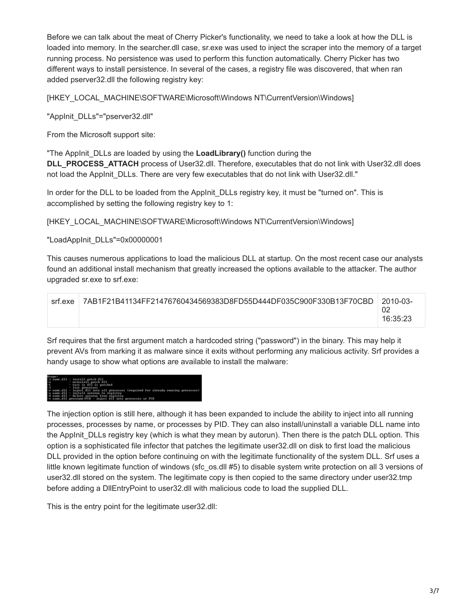Before we can talk about the meat of Cherry Picker's functionality, we need to take a look at how the DLL is loaded into memory. In the searcher.dll case, sr.exe was used to inject the scraper into the memory of a target running process. No persistence was used to perform this function automatically. Cherry Picker has two different ways to install persistence. In several of the cases, a registry file was discovered, that when ran added pserver32.dll the following registry key:

[HKEY\_LOCAL\_MACHINE\SOFTWARE\Microsoft\Windows NT\CurrentVersion\Windows]

"AppInit\_DLLs"="pserver32.dll"

From the Microsoft support site:

"The AppInit\_DLLs are loaded by using the **LoadLibrary()** function during the **DLL\_PROCESS\_ATTACH** process of User32.dll. Therefore, executables that do not link with User32.dll does not load the AppInit\_DLLs. There are very few executables that do not link with User32.dll."

In order for the DLL to be loaded from the AppInit\_DLLs registry key, it must be "turned on". This is accomplished by setting the following registry key to 1:

[HKEY\_LOCAL\_MACHINE\SOFTWARE\Microsoft\Windows NT\CurrentVersion\Windows]

"LoadAppInit\_DLLs"=0x00000001

This causes numerous applications to load the malicious DLL at startup. On the most recent case our analysts found an additional install mechanism that greatly increased the options available to the attacker. The author upgraded sr.exe to srf.exe:

| srf.exe | 7AB1F21B41134FF21476760434569383D8FD55D444DF035C900F330B13F70CBD | 2010-03- |
|---------|------------------------------------------------------------------|----------|
|         |                                                                  |          |
|         |                                                                  | 16:35:23 |
|         |                                                                  |          |

Srf requires that the first argument match a hardcoded string ("password") in the binary. This may help it prevent AVs from marking it as malware since it exits without performing any malicious activity. Srf provides a handy usage to show what options are available to install the malware:



The injection option is still here, although it has been expanded to include the ability to inject into all running processes, processes by name, or processes by PID. They can also install/uninstall a variable DLL name into the AppInit DLLs registry key (which is what they mean by autorun). Then there is the patch DLL option. This option is a sophisticated file infector that patches the legitimate user32.dll on disk to first load the malicious DLL provided in the option before continuing on with the legitimate functionality of the system DLL. Srf uses a little known legitimate function of windows (sfc\_os.dll #5) to disable system write protection on all 3 versions of user32.dll stored on the system. The legitimate copy is then copied to the same directory under user32.tmp before adding a DllEntryPoint to user32.dll with malicious code to load the supplied DLL.

This is the entry point for the legitimate user32.dll: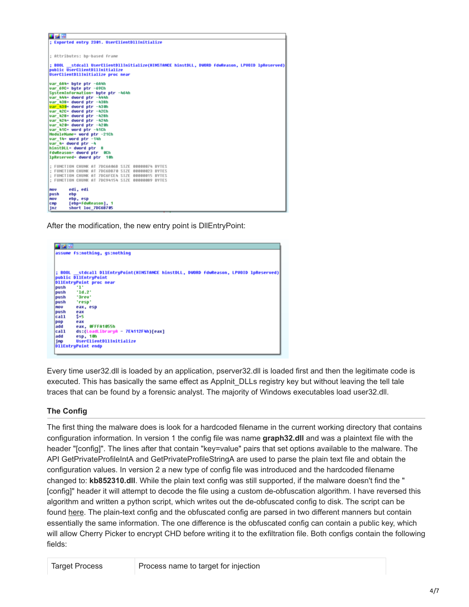| ■ 図 国                                                                                                                             |
|-----------------------------------------------------------------------------------------------------------------------------------|
| : Exported entry 2301. UserClientDllInitialize                                                                                    |
|                                                                                                                                   |
| : Attributes: bp-based frame                                                                                                      |
|                                                                                                                                   |
| ; BOOL stdcall UserClientDllInitialize(HINSTANCE hinstDLL, DWORD fdwReason, LPVOID lpReserved) <br>public UserClientDllInitialize |
| UserClientDllInitialize proc near                                                                                                 |
|                                                                                                                                   |
| uar 6A4= bute ptr -6A4h<br>var 69C= bute ptr -69Ch                                                                                |
| SustemInformation= bute ptr -464h                                                                                                 |
| var 444= dword ptr -444h                                                                                                          |
| var 438- dword ptr -438h<br>var 430= dword ptr -430h                                                                              |
| var 42C= dword ptr -42Ch                                                                                                          |
| var 428= dword ptr -428h                                                                                                          |
| var 424= dword ptr -424h<br>var 420= dword ptr -420h                                                                              |
| var 41C= word ptr -41Ch                                                                                                           |
| ModuleMame= word ptr -21Ch<br>var 14= word ptr -14h                                                                               |
| var 4= dword ptr -4                                                                                                               |
| hinstDLL= dword ptr 8                                                                                                             |
| <b>fduReason=</b> dword ptr 0Ch<br>lpReserved= dword ptr 10h                                                                      |
|                                                                                                                                   |
| ; FUNCTION CHUNK AT 7DC6A06B SIZE 00000074 BYTES                                                                                  |
| : FUNCTION CHUNK AT 7DC6DB70 SIZE 00000023 BYTES<br>; FUNCTION CHUNK AT 7DC6FCE4 SIZE 00000015 BYTES                              |
| : FUNCTION CHUNK AT 7DC94154 SIZE 00000089 BYTES                                                                                  |
|                                                                                                                                   |
| edi, edi<br>nou<br>ebp<br>push                                                                                                    |
| ebp, esp<br>nou                                                                                                                   |
| [ebp+fduReason], 1<br>CRD                                                                                                         |
| short loc 7DC6B705<br>jnz                                                                                                         |

After the modification, the new entry point is DllEntryPoint:



Every time user32.dll is loaded by an application, pserver32.dll is loaded first and then the legitimate code is executed. This has basically the same effect as Applnit DLLs registry key but without leaving the tell tale traces that can be found by a forensic analyst. The majority of Windows executables load user32.dll.

## **The Config**

The first thing the malware does is look for a hardcoded filename in the current working directory that contains configuration information. In version 1 the config file was name **graph32.dll** and was a plaintext file with the header "[config]". The lines after that contain "key=value" pairs that set options available to the malware. The API GetPrivateProfileIntA and GetPrivateProfileStringA are used to parse the plain text file and obtain the configuration values. In version 2 a new type of config file was introduced and the hardcoded filename changed to: **kb852310.dll**. While the plain text config was still supported, if the malware doesn't find the " [config]" header it will attempt to decode the file using a custom de-obfuscation algorithm. I have reversed this algorithm and written a python script, which writes out the de-obfuscated config to disk. The script can be found [here](https://github.com/SpiderLabs/malware-analysis/blob/master/Python/CherryPicker/cherryConfig.py). The plain-text config and the obfuscated config are parsed in two different manners but contain essentially the same information. The one difference is the obfuscated config can contain a public key, which will allow Cherry Picker to encrypt CHD before writing it to the exfiltration file. Both configs contain the following fields:

| Process name to target for injection |  |
|--------------------------------------|--|
|                                      |  |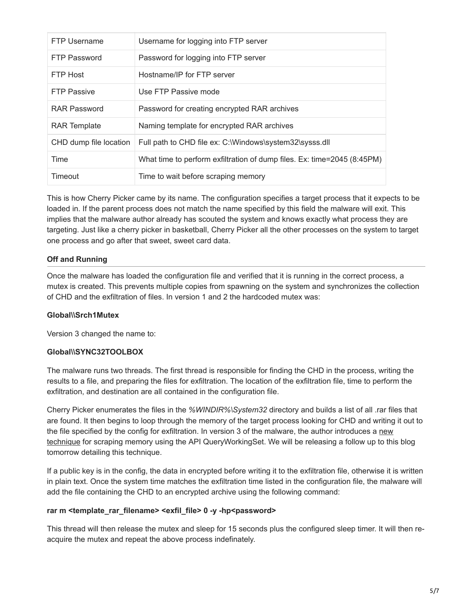| FTP Username           | Username for logging into FTP server                                    |
|------------------------|-------------------------------------------------------------------------|
| <b>FTP Password</b>    | Password for logging into FTP server                                    |
| FTP Host               | Hostname/IP for FTP server                                              |
| <b>FTP Passive</b>     | Use FTP Passive mode                                                    |
| <b>RAR Password</b>    | Password for creating encrypted RAR archives                            |
| <b>RAR Template</b>    | Naming template for encrypted RAR archives                              |
| CHD dump file location | Full path to CHD file ex: C:\Windows\system32\sysss.dll                 |
| Time                   | What time to perform exfiltration of dump files. Ex: time=2045 (8:45PM) |
| Timeout                | Time to wait before scraping memory                                     |

This is how Cherry Picker came by its name. The configuration specifies a target process that it expects to be loaded in. If the parent process does not match the name specified by this field the malware will exit. This implies that the malware author already has scouted the system and knows exactly what process they are targeting. Just like a cherry picker in basketball, Cherry Picker all the other processes on the system to target one process and go after that sweet, sweet card data.

## **Off and Running**

Once the malware has loaded the configuration file and verified that it is running in the correct process, a mutex is created. This prevents multiple copies from spawning on the system and synchronizes the collection of CHD and the exfiltration of files. In version 1 and 2 the hardcoded mutex was:

## **Global\\Srch1Mutex**

Version 3 changed the name to:

## **Global\\SYNC32TOOLBOX**

The malware runs two threads. The first thread is responsible for finding the CHD in the process, writing the results to a file, and preparing the files for exfiltration. The location of the exfiltration file, time to perform the exfiltration, and destination are all contained in the configuration file.

Cherry Picker enumerates the files in the *%WINDIR%\System32* directory and builds a list of all .rar files that are found. It then begins to loop through the memory of the target process looking for CHD and writing it out to [the file specified by the config for exfiltration. In version 3 of the malware, the author introduces a new](https://www.trustwave.com/Resources/SpiderLabs-Blog/Shining-the-Spotlight-on-Cherry-Picker-PoS-Malware/) technique for scraping memory using the API QueryWorkingSet. We will be releasing a follow up to this blog tomorrow detailing this technique.

If a public key is in the config, the data in encrypted before writing it to the exfiltration file, otherwise it is written in plain text. Once the system time matches the exfiltration time listed in the configuration file, the malware will add the file containing the CHD to an encrypted archive using the following command:

#### **rar m <template\_rar\_filename> <exfil\_file> 0 -y -hp<password>**

This thread will then release the mutex and sleep for 15 seconds plus the configured sleep timer. It will then reacquire the mutex and repeat the above process indefinately.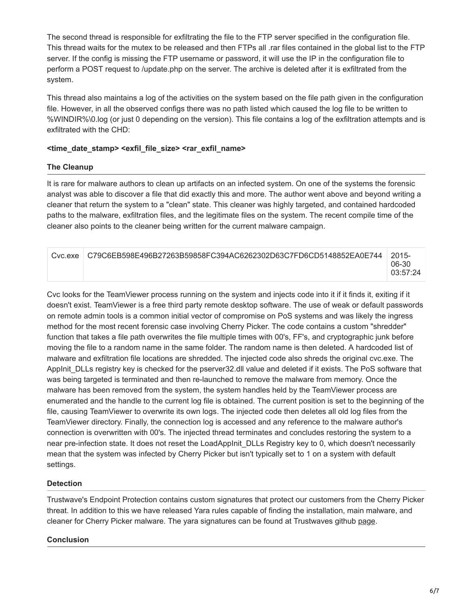The second thread is responsible for exfiltrating the file to the FTP server specified in the configuration file. This thread waits for the mutex to be released and then FTPs all .rar files contained in the global list to the FTP server. If the config is missing the FTP username or password, it will use the IP in the configuration file to perform a POST request to /update.php on the server. The archive is deleted after it is exfiltrated from the system.

This thread also maintains a log of the activities on the system based on the file path given in the configuration file. However, in all the observed configs there was no path listed which caused the log file to be written to %WINDIR%\0.log (or just 0 depending on the version). This file contains a log of the exfiltration attempts and is exfiltrated with the CHD:

#### **<time\_date\_stamp> <exfil\_file\_size> <rar\_exfil\_name>**

### **The Cleanup**

It is rare for malware authors to clean up artifacts on an infected system. On one of the systems the forensic analyst was able to discover a file that did exactly this and more. The author went above and beyond writing a cleaner that return the system to a "clean" state. This cleaner was highly targeted, and contained hardcoded paths to the malware, exfiltration files, and the legitimate files on the system. The recent compile time of the cleaner also points to the cleaner being written for the current malware campaign.

| Cyclexe | C79C6EB598E496B27263B59858FC394AC6262302D63C7FD6CD5148852EA0E744 │ | $12015-$          |
|---------|--------------------------------------------------------------------|-------------------|
|         |                                                                    | 06-30<br>03:57:24 |

Cvc looks for the TeamViewer process running on the system and injects code into it if it finds it, exiting if it doesn't exist. TeamViewer is a free third party remote desktop software. The use of weak or default passwords on remote admin tools is a common initial vector of compromise on PoS systems and was likely the ingress method for the most recent forensic case involving Cherry Picker. The code contains a custom "shredder" function that takes a file path overwrites the file multiple times with 00's, FF's, and cryptographic junk before moving the file to a random name in the same folder. The random name is then deleted. A hardcoded list of malware and exfiltration file locations are shredded. The injected code also shreds the original cvc.exe. The AppInit DLLs registry key is checked for the pserver32.dll value and deleted if it exists. The PoS software that was being targeted is terminated and then re-launched to remove the malware from memory. Once the malware has been removed from the system, the system handles held by the TeamViewer process are enumerated and the handle to the current log file is obtained. The current position is set to the beginning of the file, causing TeamViewer to overwrite its own logs. The injected code then deletes all old log files from the TeamViewer directory. Finally, the connection log is accessed and any reference to the malware author's connection is overwritten with 00's. The injected thread terminates and concludes restoring the system to a near pre-infection state. It does not reset the LoadAppInit DLLs Registry key to 0, which doesn't necessarily mean that the system was infected by Cherry Picker but isn't typically set to 1 on a system with default settings.

#### **Detection**

Trustwave's Endpoint Protection contains custom signatures that protect our customers from the Cherry Picker threat. In addition to this we have released Yara rules capable of finding the installation, main malware, and cleaner for Cherry Picker malware. The yara signatures can be found at Trustwaves github [page](https://github.com/SpiderLabs/malware-analysis/blob/master/Yara/CherryPicker/cherryPicker.yar).

## **Conclusion**